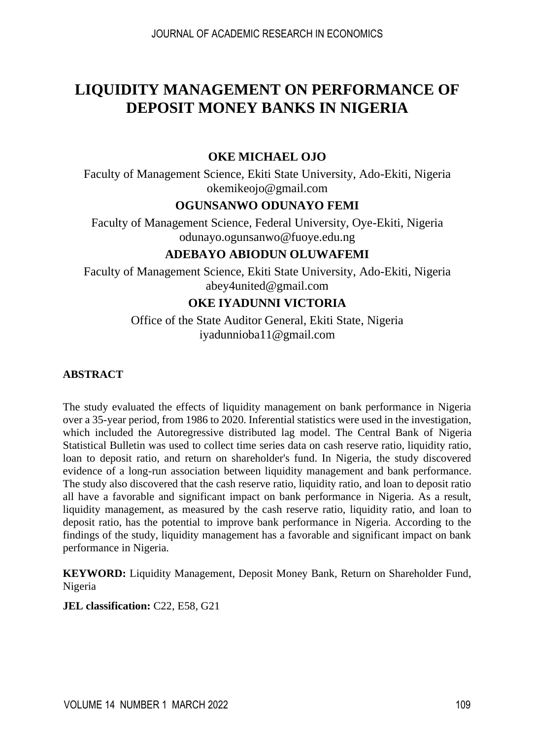# **LIQUIDITY MANAGEMENT ON PERFORMANCE OF DEPOSIT MONEY BANKS IN NIGERIA**

### **OKE MICHAEL OJO**

Faculty of Management Science, Ekiti State University, Ado-Ekiti, Nigeria [okemikeojo@gmail.com](mailto:okemikeojo@gmail.com)

# **OGUNSANWO ODUNAYO FEMI**

Faculty of Management Science, Federal University, Oye-Ekiti, Nigeria [odunayo.ogunsanwo@fuoye.edu.ng](mailto:odunayo.ogunsanwo@fuoye.edu.ng)

# **ADEBAYO ABIODUN OLUWAFEMI**

Faculty of Management Science, Ekiti State University, Ado-Ekiti, Nigeria [abey4united@gmail.com](mailto:abey4united@gmail.com)

# **OKE IYADUNNI VICTORIA**

Office of the State Auditor General, Ekiti State, Nigeria [iyadunnioba11@gmail.com](mailto:iyadunnioba11@gmail.com)

### **ABSTRACT**

The study evaluated the effects of liquidity management on bank performance in Nigeria over a 35-year period, from 1986 to 2020. Inferential statistics were used in the investigation, which included the Autoregressive distributed lag model. The Central Bank of Nigeria Statistical Bulletin was used to collect time series data on cash reserve ratio, liquidity ratio, loan to deposit ratio, and return on shareholder's fund. In Nigeria, the study discovered evidence of a long-run association between liquidity management and bank performance. The study also discovered that the cash reserve ratio, liquidity ratio, and loan to deposit ratio all have a favorable and significant impact on bank performance in Nigeria. As a result, liquidity management, as measured by the cash reserve ratio, liquidity ratio, and loan to deposit ratio, has the potential to improve bank performance in Nigeria. According to the findings of the study, liquidity management has a favorable and significant impact on bank performance in Nigeria.

**KEYWORD:** Liquidity Management, Deposit Money Bank, Return on Shareholder Fund, Nigeria

**JEL classification:** C22, E58, G21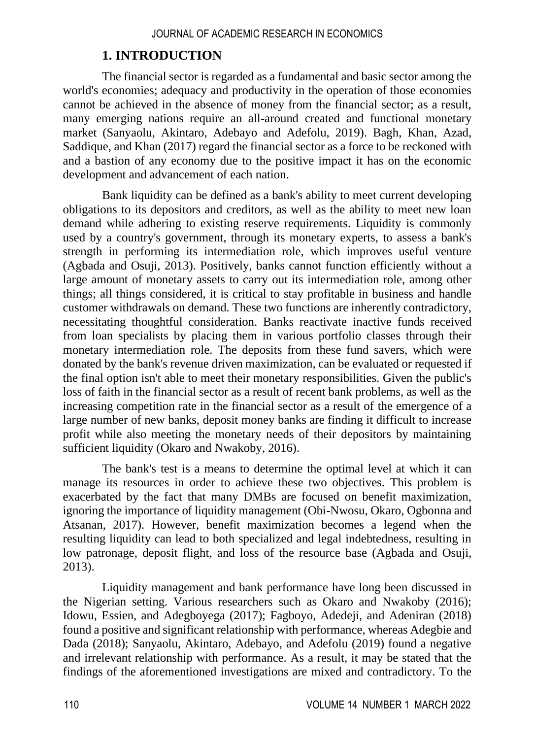# **1. INTRODUCTION**

The financial sector is regarded as a fundamental and basic sector among the world's economies; adequacy and productivity in the operation of those economies cannot be achieved in the absence of money from the financial sector; as a result, many emerging nations require an all-around created and functional monetary market (Sanyaolu, Akintaro, Adebayo and Adefolu, 2019). Bagh, Khan, Azad, Saddique, and Khan (2017) regard the financial sector as a force to be reckoned with and a bastion of any economy due to the positive impact it has on the economic development and advancement of each nation.

Bank liquidity can be defined as a bank's ability to meet current developing obligations to its depositors and creditors, as well as the ability to meet new loan demand while adhering to existing reserve requirements. Liquidity is commonly used by a country's government, through its monetary experts, to assess a bank's strength in performing its intermediation role, which improves useful venture (Agbada and Osuji, 2013). Positively, banks cannot function efficiently without a large amount of monetary assets to carry out its intermediation role, among other things; all things considered, it is critical to stay profitable in business and handle customer withdrawals on demand. These two functions are inherently contradictory, necessitating thoughtful consideration. Banks reactivate inactive funds received from loan specialists by placing them in various portfolio classes through their monetary intermediation role. The deposits from these fund savers, which were donated by the bank's revenue driven maximization, can be evaluated or requested if the final option isn't able to meet their monetary responsibilities. Given the public's loss of faith in the financial sector as a result of recent bank problems, as well as the increasing competition rate in the financial sector as a result of the emergence of a large number of new banks, deposit money banks are finding it difficult to increase profit while also meeting the monetary needs of their depositors by maintaining sufficient liquidity (Okaro and Nwakoby, 2016).

The bank's test is a means to determine the optimal level at which it can manage its resources in order to achieve these two objectives. This problem is exacerbated by the fact that many DMBs are focused on benefit maximization, ignoring the importance of liquidity management (Obi-Nwosu, Okaro, Ogbonna and Atsanan, 2017). However, benefit maximization becomes a legend when the resulting liquidity can lead to both specialized and legal indebtedness, resulting in low patronage, deposit flight, and loss of the resource base (Agbada and Osuji, 2013).

Liquidity management and bank performance have long been discussed in the Nigerian setting. Various researchers such as Okaro and Nwakoby (2016); Idowu, Essien, and Adegboyega (2017); Fagboyo, Adedeji, and Adeniran (2018) found a positive and significant relationship with performance, whereas Adegbie and Dada (2018); Sanyaolu, Akintaro, Adebayo, and Adefolu (2019) found a negative and irrelevant relationship with performance. As a result, it may be stated that the findings of the aforementioned investigations are mixed and contradictory. To the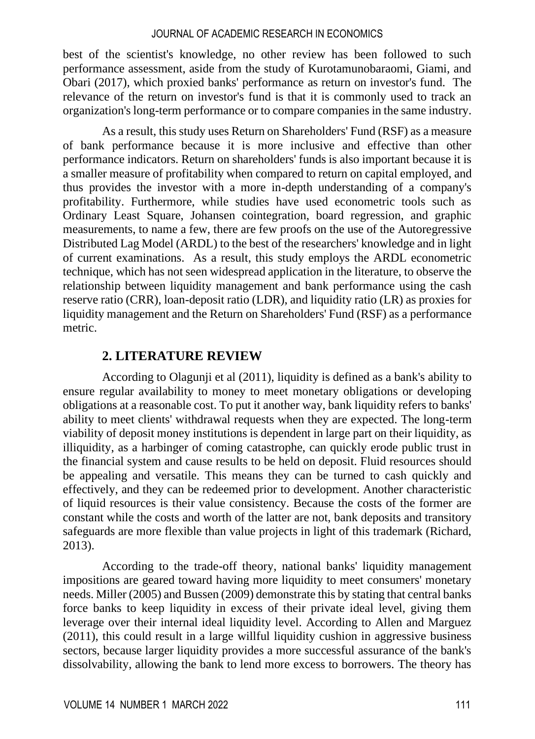best of the scientist's knowledge, no other review has been followed to such performance assessment, aside from the study of Kurotamunobaraomi, Giami, and Obari (2017), which proxied banks' performance as return on investor's fund. The relevance of the return on investor's fund is that it is commonly used to track an organization's long-term performance or to compare companies in the same industry.

As a result, this study uses Return on Shareholders' Fund (RSF) as a measure of bank performance because it is more inclusive and effective than other performance indicators. Return on shareholders' funds is also important because it is a smaller measure of profitability when compared to return on capital employed, and thus provides the investor with a more in-depth understanding of a company's profitability. Furthermore, while studies have used econometric tools such as Ordinary Least Square, Johansen cointegration, board regression, and graphic measurements, to name a few, there are few proofs on the use of the Autoregressive Distributed Lag Model (ARDL) to the best of the researchers' knowledge and in light of current examinations. As a result, this study employs the ARDL econometric technique, which has not seen widespread application in the literature, to observe the relationship between liquidity management and bank performance using the cash reserve ratio (CRR), loan-deposit ratio (LDR), and liquidity ratio (LR) as proxies for liquidity management and the Return on Shareholders' Fund (RSF) as a performance metric.

### **2. LITERATURE REVIEW**

According to Olagunji et al (2011), liquidity is defined as a bank's ability to ensure regular availability to money to meet monetary obligations or developing obligations at a reasonable cost. To put it another way, bank liquidity refers to banks' ability to meet clients' withdrawal requests when they are expected. The long-term viability of deposit money institutions is dependent in large part on their liquidity, as illiquidity, as a harbinger of coming catastrophe, can quickly erode public trust in the financial system and cause results to be held on deposit. Fluid resources should be appealing and versatile. This means they can be turned to cash quickly and effectively, and they can be redeemed prior to development. Another characteristic of liquid resources is their value consistency. Because the costs of the former are constant while the costs and worth of the latter are not, bank deposits and transitory safeguards are more flexible than value projects in light of this trademark (Richard, 2013).

According to the trade-off theory, national banks' liquidity management impositions are geared toward having more liquidity to meet consumers' monetary needs. Miller (2005) and Bussen (2009) demonstrate this by stating that central banks force banks to keep liquidity in excess of their private ideal level, giving them leverage over their internal ideal liquidity level. According to Allen and Marguez (2011), this could result in a large willful liquidity cushion in aggressive business sectors, because larger liquidity provides a more successful assurance of the bank's dissolvability, allowing the bank to lend more excess to borrowers. The theory has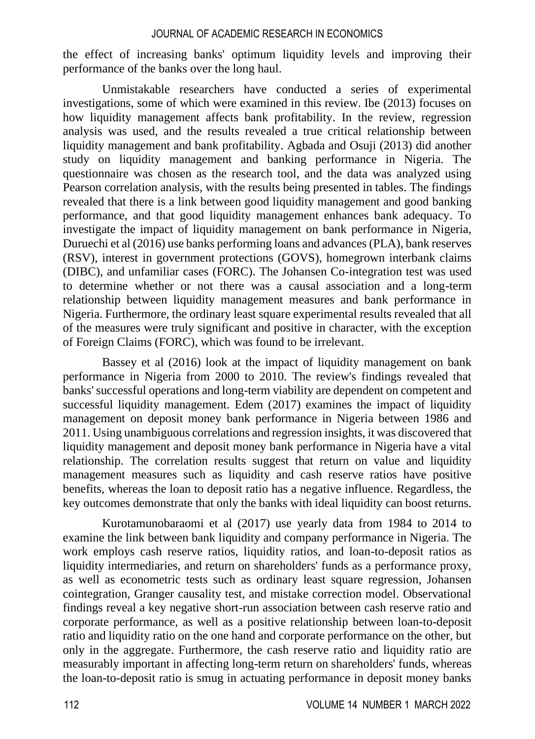the effect of increasing banks' optimum liquidity levels and improving their performance of the banks over the long haul.

Unmistakable researchers have conducted a series of experimental investigations, some of which were examined in this review. Ibe (2013) focuses on how liquidity management affects bank profitability. In the review, regression analysis was used, and the results revealed a true critical relationship between liquidity management and bank profitability. Agbada and Osuji (2013) did another study on liquidity management and banking performance in Nigeria. The questionnaire was chosen as the research tool, and the data was analyzed using Pearson correlation analysis, with the results being presented in tables. The findings revealed that there is a link between good liquidity management and good banking performance, and that good liquidity management enhances bank adequacy. To investigate the impact of liquidity management on bank performance in Nigeria, Duruechi et al (2016) use banks performing loans and advances (PLA), bank reserves (RSV), interest in government protections (GOVS), homegrown interbank claims (DIBC), and unfamiliar cases (FORC). The Johansen Co-integration test was used to determine whether or not there was a causal association and a long-term relationship between liquidity management measures and bank performance in Nigeria. Furthermore, the ordinary least square experimental results revealed that all of the measures were truly significant and positive in character, with the exception of Foreign Claims (FORC), which was found to be irrelevant.

Bassey et al (2016) look at the impact of liquidity management on bank performance in Nigeria from 2000 to 2010. The review's findings revealed that banks' successful operations and long-term viability are dependent on competent and successful liquidity management. Edem (2017) examines the impact of liquidity management on deposit money bank performance in Nigeria between 1986 and 2011. Using unambiguous correlations and regression insights, it was discovered that liquidity management and deposit money bank performance in Nigeria have a vital relationship. The correlation results suggest that return on value and liquidity management measures such as liquidity and cash reserve ratios have positive benefits, whereas the loan to deposit ratio has a negative influence. Regardless, the key outcomes demonstrate that only the banks with ideal liquidity can boost returns.

Kurotamunobaraomi et al (2017) use yearly data from 1984 to 2014 to examine the link between bank liquidity and company performance in Nigeria. The work employs cash reserve ratios, liquidity ratios, and loan-to-deposit ratios as liquidity intermediaries, and return on shareholders' funds as a performance proxy, as well as econometric tests such as ordinary least square regression, Johansen cointegration, Granger causality test, and mistake correction model. Observational findings reveal a key negative short-run association between cash reserve ratio and corporate performance, as well as a positive relationship between loan-to-deposit ratio and liquidity ratio on the one hand and corporate performance on the other, but only in the aggregate. Furthermore, the cash reserve ratio and liquidity ratio are measurably important in affecting long-term return on shareholders' funds, whereas the loan-to-deposit ratio is smug in actuating performance in deposit money banks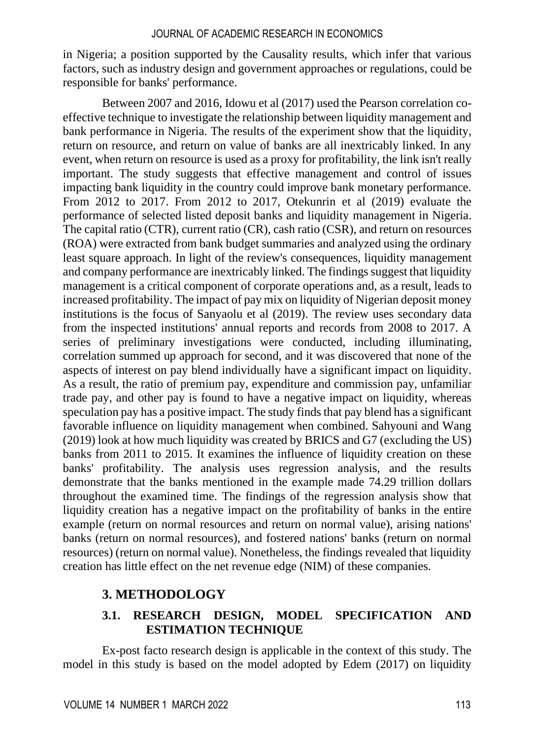in Nigeria; a position supported by the Causality results, which infer that various factors, such as industry design and government approaches or regulations, could be responsible for banks' performance.

Between 2007 and 2016, Idowu et al (2017) used the Pearson correlation coeffective technique to investigate the relationship between liquidity management and bank performance in Nigeria. The results of the experiment show that the liquidity, return on resource, and return on value of banks are all inextricably linked. In any event, when return on resource is used as a proxy for profitability, the link isn't really important. The study suggests that effective management and control of issues impacting bank liquidity in the country could improve bank monetary performance. From 2012 to 2017. From 2012 to 2017, Otekunrin et al (2019) evaluate the performance of selected listed deposit banks and liquidity management in Nigeria. The capital ratio (CTR), current ratio (CR), cash ratio (CSR), and return on resources (ROA) were extracted from bank budget summaries and analyzed using the ordinary least square approach. In light of the review's consequences, liquidity management and company performance are inextricably linked. The findings suggest that liquidity management is a critical component of corporate operations and, as a result, leads to increased profitability. The impact of pay mix on liquidity of Nigerian deposit money institutions is the focus of Sanyaolu et al (2019). The review uses secondary data from the inspected institutions' annual reports and records from 2008 to 2017. A series of preliminary investigations were conducted, including illuminating, correlation summed up approach for second, and it was discovered that none of the aspects of interest on pay blend individually have a significant impact on liquidity. As a result, the ratio of premium pay, expenditure and commission pay, unfamiliar trade pay, and other pay is found to have a negative impact on liquidity, whereas speculation pay has a positive impact. The study finds that pay blend has a significant favorable influence on liquidity management when combined. Sahyouni and Wang (2019) look at how much liquidity was created by BRICS and G7 (excluding the US) banks from 2011 to 2015. It examines the influence of liquidity creation on these banks' profitability. The analysis uses regression analysis, and the results demonstrate that the banks mentioned in the example made 74.29 trillion dollars throughout the examined time. The findings of the regression analysis show that liquidity creation has a negative impact on the profitability of banks in the entire example (return on normal resources and return on normal value), arising nations' banks (return on normal resources), and fostered nations' banks (return on normal resources) (return on normal value). Nonetheless, the findings revealed that liquidity creation has little effect on the net revenue edge (NIM) of these companies.

# **3. METHODOLOGY**

# **3.1. RESEARCH DESIGN, MODEL SPECIFICATION AND ESTIMATION TECHNIQUE**

Ex-post facto research design is applicable in the context of this study. The model in this study is based on the model adopted by Edem (2017) on liquidity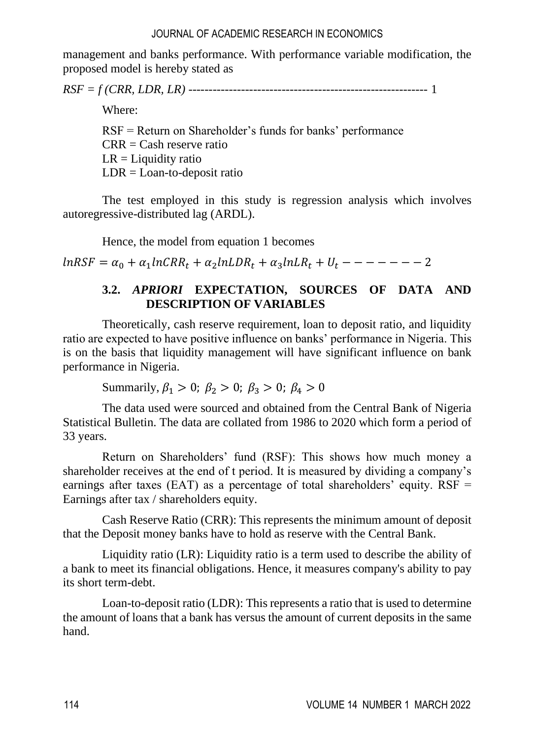management and banks performance. With performance variable modification, the proposed model is hereby stated as

*RSF = f (CRR, LDR, LR)* ----------------------------------------------------------- 1

Where:

RSF = Return on Shareholder's funds for banks' performance  $CRR = Cash$  reserve ratio  $LR =$ Liquidity ratio  $LDR = Loan-to-deposit ratio$ 

The test employed in this study is regression analysis which involves autoregressive-distributed lag (ARDL).

Hence, the model from equation 1 becomes

 $lnRSF = \alpha_0 + \alpha_1 lnCRR_t + \alpha_2 lnLDR_t + \alpha_3 lnLR_t + U_t - - - - - - - 2$ 

# **3.2.** *APRIORI* **EXPECTATION, SOURCES OF DATA AND DESCRIPTION OF VARIABLES**

Theoretically, cash reserve requirement, loan to deposit ratio, and liquidity ratio are expected to have positive influence on banks' performance in Nigeria. This is on the basis that liquidity management will have significant influence on bank performance in Nigeria.

Summarily,  $\beta_1 > 0$ ;  $\beta_2 > 0$ ;  $\beta_3 > 0$ ;  $\beta_4 > 0$ 

The data used were sourced and obtained from the Central Bank of Nigeria Statistical Bulletin. The data are collated from 1986 to 2020 which form a period of 33 years.

Return on Shareholders' fund (RSF): This shows how much money a shareholder receives at the end of t period. It is measured by dividing a company's earnings after taxes (EAT) as a percentage of total shareholders' equity.  $RSF =$ Earnings after tax / shareholders equity.

Cash Reserve Ratio (CRR): This represents the minimum amount of deposit that the Deposit money banks have to hold as reserve with the Central Bank.

Liquidity ratio (LR): Liquidity ratio is a term used to describe the ability of a bank to meet its financial obligations. Hence, it measures company's ability to pay its short term-debt.

Loan-to-deposit ratio (LDR): This represents a ratio that is used to determine the amount of loans that a bank has versus the amount of current deposits in the same hand.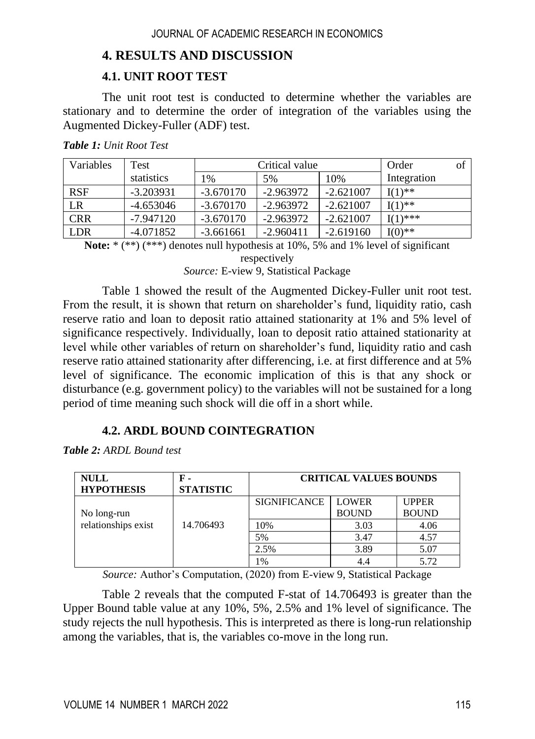# **4. RESULTS AND DISCUSSION**

# **4.1. UNIT ROOT TEST**

The unit root test is conducted to determine whether the variables are stationary and to determine the order of integration of the variables using the Augmented Dickey-Fuller (ADF) test.

| Variables  | Test        | Critical value |             |             | Order       | of |
|------------|-------------|----------------|-------------|-------------|-------------|----|
|            | statistics  | 1%             | 5%          | 10%         | Integration |    |
| <b>RSF</b> | $-3.203931$ | $-3.670170$    | $-2.963972$ | $-2.621007$ | $I(1)$ **   |    |
| LR         | -4.653046   | $-3.670170$    | $-2.963972$ | $-2.621007$ | $I(1)$ **   |    |
| <b>CRR</b> | $-7.947120$ | $-3.670170$    | $-2.963972$ | $-2.621007$ | $I(1)$ ***  |    |
| <b>LDR</b> | -4.071852   | $-3.661661$    | $-2.960411$ | $-2.619160$ | $I(0)$ **   |    |

*Table 1: Unit Root Test*

**Note:** \* (\*\*) (\*\*\*) denotes null hypothesis at 10%, 5% and 1% level of significant

respectively

*Source:* E-view 9, Statistical Package

Table 1 showed the result of the Augmented Dickey-Fuller unit root test. From the result, it is shown that return on shareholder's fund, liquidity ratio, cash reserve ratio and loan to deposit ratio attained stationarity at 1% and 5% level of significance respectively. Individually, loan to deposit ratio attained stationarity at level while other variables of return on shareholder's fund, liquidity ratio and cash reserve ratio attained stationarity after differencing, i.e. at first difference and at 5% level of significance. The economic implication of this is that any shock or disturbance (e.g. government policy) to the variables will not be sustained for a long period of time meaning such shock will die off in a short while.

# **4.2. ARDL BOUND COINTEGRATION**

*Table 2: ARDL Bound test*

| <b>NULL</b><br><b>HYPOTHESIS</b> | F -<br><b>STATISTIC</b> | <b>CRITICAL VALUES BOUNDS</b> |              |              |  |
|----------------------------------|-------------------------|-------------------------------|--------------|--------------|--|
|                                  |                         | <b>SIGNIFICANCE</b>           | <b>LOWER</b> | <b>UPPER</b> |  |
| No long-run                      |                         |                               | <b>BOUND</b> | <b>BOUND</b> |  |
| relationships exist              | 14.706493               | 10%                           | 3.03         | 4.06         |  |
|                                  |                         | 5%                            | 3.47         | 4.57         |  |
|                                  |                         | 2.5%                          | 3.89         | 5.07         |  |
|                                  |                         | 1%                            | 4.4          | 5.72         |  |

*Source:* Author's Computation, (2020) from E-view 9, Statistical Package

Table 2 reveals that the computed F-stat of 14.706493 is greater than the Upper Bound table value at any 10%, 5%, 2.5% and 1% level of significance. The study rejects the null hypothesis. This is interpreted as there is long-run relationship among the variables, that is, the variables co-move in the long run.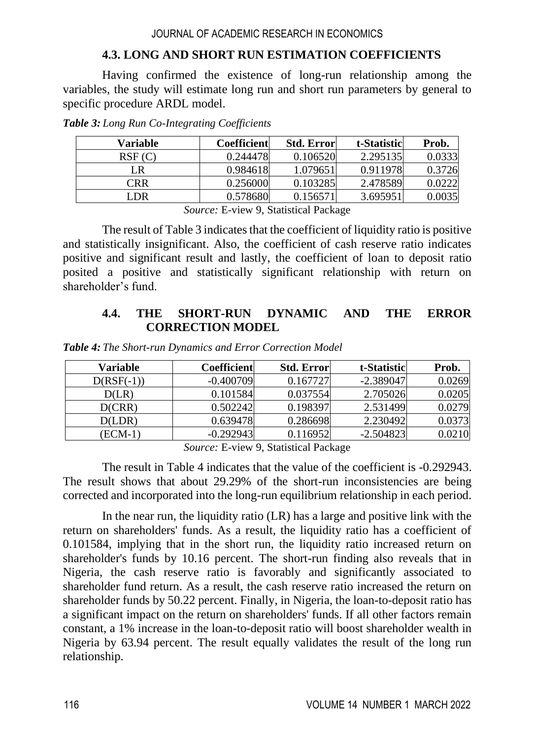# **4.3. LONG AND SHORT RUN ESTIMATION COEFFICIENTS**

Having confirmed the existence of long-run relationship among the variables, the study will estimate long run and short run parameters by general to specific procedure ARDL model.

| Variable | <b>Coefficient</b> | <b>Std. Error</b> | t-Statistic | Prob.  |
|----------|--------------------|-------------------|-------------|--------|
| RSF(C)   | 0.244478           | 0.106520          | 2.295135    | 0.0333 |
| LR       | 0.984618           | 1.079651          | 0.911978    | 0.3726 |
| CRR      | 0.256000           | 0.103285          | 2.478589    | 0.0222 |
| LDR.     | 0.578680           | 0.156571          | 3.695951    | 0.0035 |

*Table 3: Long Run Co-Integrating Coefficients*

*Source:* E-view 9, Statistical Package

The result of Table 3 indicates that the coefficient of liquidity ratio is positive and statistically insignificant. Also, the coefficient of cash reserve ratio indicates positive and significant result and lastly, the coefficient of loan to deposit ratio posited a positive and statistically significant relationship with return on shareholder's fund.

# **4.4. THE SHORT-RUN DYNAMIC AND THE ERROR CORRECTION MODEL**

| Variable     | Coefficient | <b>Std. Error</b> | t-Statistic | Prob.  |
|--------------|-------------|-------------------|-------------|--------|
| $D(RSF(-1))$ | $-0.400709$ | 0.167727          | $-2.389047$ | 0.0269 |
| D(LR)        | 0.101584    | 0.037554          | 2.705026    | 0.0205 |
| D(CRR)       | 0.502242    | 0.198397          | 2.531499    | 0.0279 |
| D(LDR)       | 0.639478    | 0.286698          | 2.230492    | 0.0373 |
| (ECM-1       | $-0.292943$ | 0.116952          | $-2.504823$ | 0.0210 |

*Table 4: The Short-run Dynamics and Error Correction Model*

*Source:* E-view 9, Statistical Package

The result in Table 4 indicates that the value of the coefficient is -0.292943. The result shows that about 29.29% of the short-run inconsistencies are being corrected and incorporated into the long-run equilibrium relationship in each period.

In the near run, the liquidity ratio (LR) has a large and positive link with the return on shareholders' funds. As a result, the liquidity ratio has a coefficient of 0.101584, implying that in the short run, the liquidity ratio increased return on shareholder's funds by 10.16 percent. The short-run finding also reveals that in Nigeria, the cash reserve ratio is favorably and significantly associated to shareholder fund return. As a result, the cash reserve ratio increased the return on shareholder funds by 50.22 percent. Finally, in Nigeria, the loan-to-deposit ratio has a significant impact on the return on shareholders' funds. If all other factors remain constant, a 1% increase in the loan-to-deposit ratio will boost shareholder wealth in Nigeria by 63.94 percent. The result equally validates the result of the long run relationship.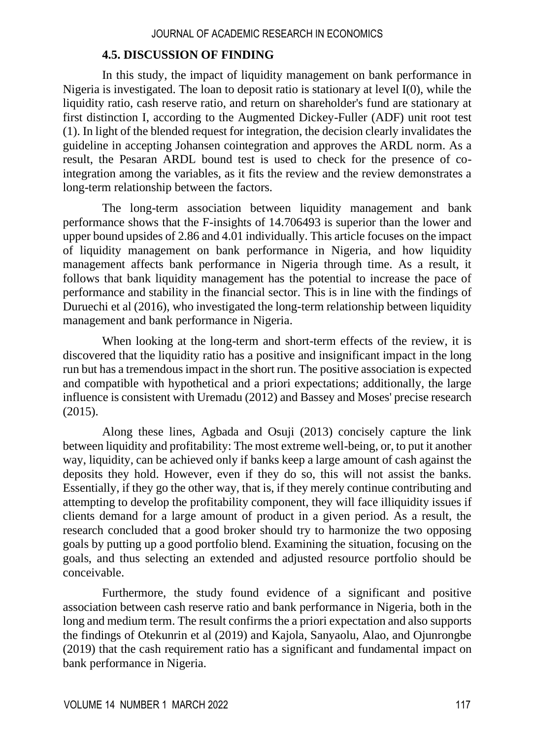#### **4.5. DISCUSSION OF FINDING**

In this study, the impact of liquidity management on bank performance in Nigeria is investigated. The loan to deposit ratio is stationary at level I(0), while the liquidity ratio, cash reserve ratio, and return on shareholder's fund are stationary at first distinction I, according to the Augmented Dickey-Fuller (ADF) unit root test (1). In light of the blended request for integration, the decision clearly invalidates the guideline in accepting Johansen cointegration and approves the ARDL norm. As a result, the Pesaran ARDL bound test is used to check for the presence of cointegration among the variables, as it fits the review and the review demonstrates a long-term relationship between the factors.

The long-term association between liquidity management and bank performance shows that the F-insights of 14.706493 is superior than the lower and upper bound upsides of 2.86 and 4.01 individually. This article focuses on the impact of liquidity management on bank performance in Nigeria, and how liquidity management affects bank performance in Nigeria through time. As a result, it follows that bank liquidity management has the potential to increase the pace of performance and stability in the financial sector. This is in line with the findings of Duruechi et al (2016), who investigated the long-term relationship between liquidity management and bank performance in Nigeria.

When looking at the long-term and short-term effects of the review, it is discovered that the liquidity ratio has a positive and insignificant impact in the long run but has a tremendous impact in the short run. The positive association is expected and compatible with hypothetical and a priori expectations; additionally, the large influence is consistent with Uremadu (2012) and Bassey and Moses' precise research (2015).

Along these lines, Agbada and Osuji (2013) concisely capture the link between liquidity and profitability: The most extreme well-being, or, to put it another way, liquidity, can be achieved only if banks keep a large amount of cash against the deposits they hold. However, even if they do so, this will not assist the banks. Essentially, if they go the other way, that is, if they merely continue contributing and attempting to develop the profitability component, they will face illiquidity issues if clients demand for a large amount of product in a given period. As a result, the research concluded that a good broker should try to harmonize the two opposing goals by putting up a good portfolio blend. Examining the situation, focusing on the goals, and thus selecting an extended and adjusted resource portfolio should be conceivable.

Furthermore, the study found evidence of a significant and positive association between cash reserve ratio and bank performance in Nigeria, both in the long and medium term. The result confirms the a priori expectation and also supports the findings of Otekunrin et al (2019) and Kajola, Sanyaolu, Alao, and Ojunrongbe (2019) that the cash requirement ratio has a significant and fundamental impact on bank performance in Nigeria.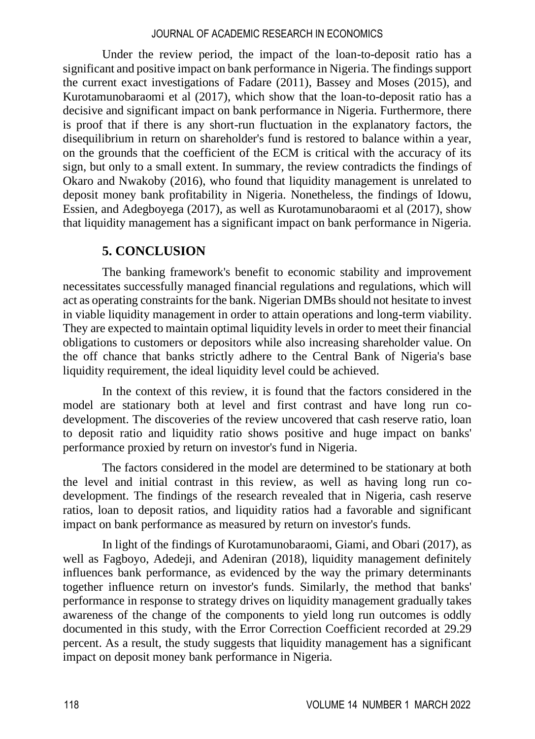Under the review period, the impact of the loan-to-deposit ratio has a significant and positive impact on bank performance in Nigeria. The findings support the current exact investigations of Fadare (2011), Bassey and Moses (2015), and Kurotamunobaraomi et al (2017), which show that the loan-to-deposit ratio has a decisive and significant impact on bank performance in Nigeria. Furthermore, there is proof that if there is any short-run fluctuation in the explanatory factors, the disequilibrium in return on shareholder's fund is restored to balance within a year, on the grounds that the coefficient of the ECM is critical with the accuracy of its sign, but only to a small extent. In summary, the review contradicts the findings of Okaro and Nwakoby (2016), who found that liquidity management is unrelated to deposit money bank profitability in Nigeria. Nonetheless, the findings of Idowu, Essien, and Adegboyega (2017), as well as Kurotamunobaraomi et al (2017), show that liquidity management has a significant impact on bank performance in Nigeria.

### **5. CONCLUSION**

The banking framework's benefit to economic stability and improvement necessitates successfully managed financial regulations and regulations, which will act as operating constraints for the bank. Nigerian DMBs should not hesitate to invest in viable liquidity management in order to attain operations and long-term viability. They are expected to maintain optimal liquidity levels in order to meet their financial obligations to customers or depositors while also increasing shareholder value. On the off chance that banks strictly adhere to the Central Bank of Nigeria's base liquidity requirement, the ideal liquidity level could be achieved.

In the context of this review, it is found that the factors considered in the model are stationary both at level and first contrast and have long run codevelopment. The discoveries of the review uncovered that cash reserve ratio, loan to deposit ratio and liquidity ratio shows positive and huge impact on banks' performance proxied by return on investor's fund in Nigeria.

The factors considered in the model are determined to be stationary at both the level and initial contrast in this review, as well as having long run codevelopment. The findings of the research revealed that in Nigeria, cash reserve ratios, loan to deposit ratios, and liquidity ratios had a favorable and significant impact on bank performance as measured by return on investor's funds.

In light of the findings of Kurotamunobaraomi, Giami, and Obari (2017), as well as Fagboyo, Adedeji, and Adeniran (2018), liquidity management definitely influences bank performance, as evidenced by the way the primary determinants together influence return on investor's funds. Similarly, the method that banks' performance in response to strategy drives on liquidity management gradually takes awareness of the change of the components to yield long run outcomes is oddly documented in this study, with the Error Correction Coefficient recorded at 29.29 percent. As a result, the study suggests that liquidity management has a significant impact on deposit money bank performance in Nigeria.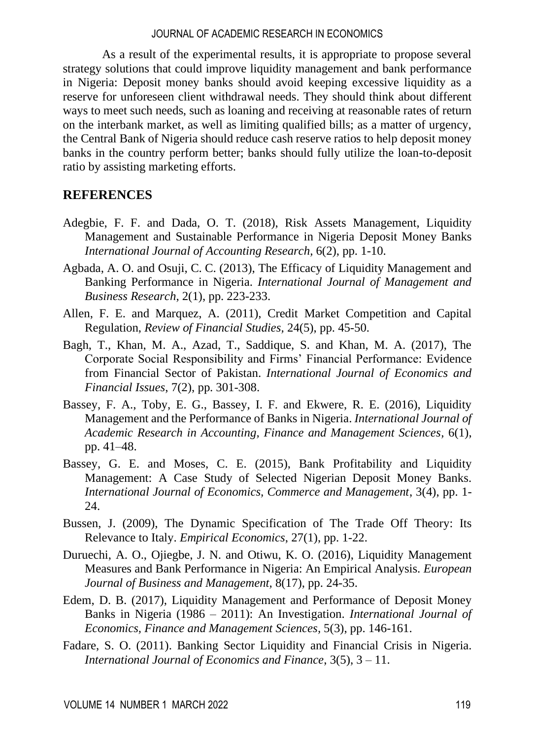As a result of the experimental results, it is appropriate to propose several strategy solutions that could improve liquidity management and bank performance in Nigeria: Deposit money banks should avoid keeping excessive liquidity as a reserve for unforeseen client withdrawal needs. They should think about different ways to meet such needs, such as loaning and receiving at reasonable rates of return on the interbank market, as well as limiting qualified bills; as a matter of urgency, the Central Bank of Nigeria should reduce cash reserve ratios to help deposit money banks in the country perform better; banks should fully utilize the loan-to-deposit ratio by assisting marketing efforts.

### **REFERENCES**

- Adegbie, F. F. and Dada, O. T. (2018), Risk Assets Management, Liquidity Management and Sustainable Performance in Nigeria Deposit Money Banks *International Journal of Accounting Research,* 6(2), pp. 1-10.
- Agbada, A. O. and Osuji, C. C. (2013), The Efficacy of Liquidity Management and Banking Performance in Nigeria. *International Journal of Management and Business Research*, 2(1), pp. 223-233.
- Allen, F. E. and Marquez, A. (2011), Credit Market Competition and Capital Regulation, *Review of Financial Studies,* 24(5), pp. 45-50.
- Bagh, T., Khan, M. A., Azad, T., Saddique, S. and Khan, M. A. (2017), The Corporate Social Responsibility and Firms' Financial Performance: Evidence from Financial Sector of Pakistan. *International Journal of Economics and Financial Issues*, 7(2), pp. 301-308.
- Bassey, F. A., Toby, E. G., Bassey, I. F. and Ekwere, R. E. (2016), Liquidity Management and the Performance of Banks in Nigeria. *International Journal of Academic Research in Accounting, Finance and Management Sciences,* 6(1), pp. 41–48.
- Bassey, G. E. and Moses, C. E. (2015), Bank Profitability and Liquidity Management: A Case Study of Selected Nigerian Deposit Money Banks. *International Journal of Economics, Commerce and Management*, 3(4), pp. 1- 24.
- Bussen, J. (2009), The Dynamic Specification of The Trade Off Theory: Its Relevance to Italy. *Empirical Economics*, 27(1), pp. 1-22.
- Duruechi, A. O., Ojiegbe, J. N. and Otiwu, K. O. (2016), Liquidity Management Measures and Bank Performance in Nigeria: An Empirical Analysis. *European Journal of Business and Management,* 8(17), pp. 24-35.
- Edem, D. B. (2017), Liquidity Management and Performance of Deposit Money Banks in Nigeria (1986 – 2011): An Investigation. *International Journal of Economics, Finance and Management Sciences,* 5(3), pp. 146-161.
- Fadare, S. O. (2011). Banking Sector Liquidity and Financial Crisis in Nigeria. *International Journal of Economics and Finance*, 3(5), 3 – 11.